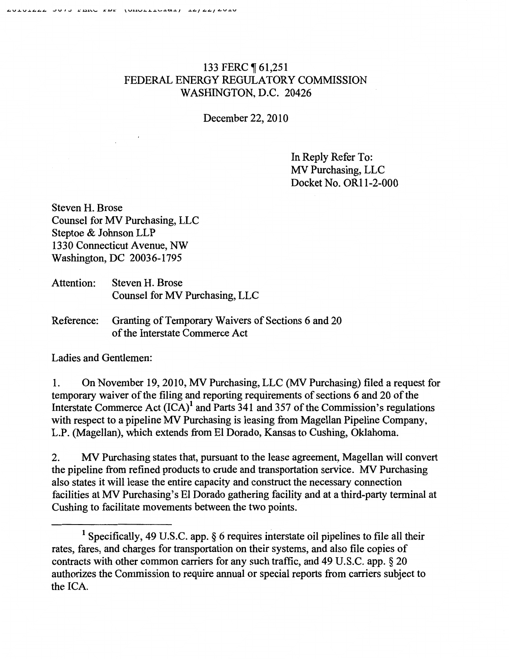## 133 FERC ¶ 61,251 FEDERAL ENERGY REGULATORY COMMISSION WASHINGTON, D.C. 20426

December 22,2010

In Reply Refer To: MV Purchasing, LLC Docket No. OR11-2-000

Steven H. Brose Counsel for MV Purchasing, LLC Steptoe & Johnson LLP 1330 Connecticut Avenue, NW Washington, DC 20036-1795

- Attention: Steven H. Brose Counsel for MV Purchasing, LLC
- Reference: Granting of Temporary Waivers of Sections 6 and 20 of the Interstate Commerce Act

Ladies and Gentlemen:

1. On November 19,2010, MV Purchasing, LLC (MV Purchasing) filed a request for temporary waiver of the filing and reporting requirements of sections 6 and 20 of the Interstate Commerce Act  $(ICA)^1$  and Parts 341 and 357 of the Commission's regulations with respect to a pipeline MV Purchasing is leasing from Magellan Pipeline Company, L.P. (Magellan), which extends from El Dorado, Kansas to Cushing, Oklahoma.

2. MV Purchasing states that, pursuant to the lease agreement, Magellan will convert the pipeline from refined products to crude and transportation service. MV Purchasing also states it will lease the entire capacity and construct the necessary connection facilities at MV Purchasing's El Dorado gathering facility and at a third-party terminal at Cushing to facilitate movements between the two points.

<sup>&</sup>lt;sup>1</sup> Specifically, 49 U.S.C. app. § 6 requires interstate oil pipelines to file all their rates, fares, and charges for transportation on their systems, and also file copies of contracts with other common carriers for any such traffic, and 49 U.S.C. app. § 20 authorizes the Commission to require annual or special reports from carriers subject to the ICA.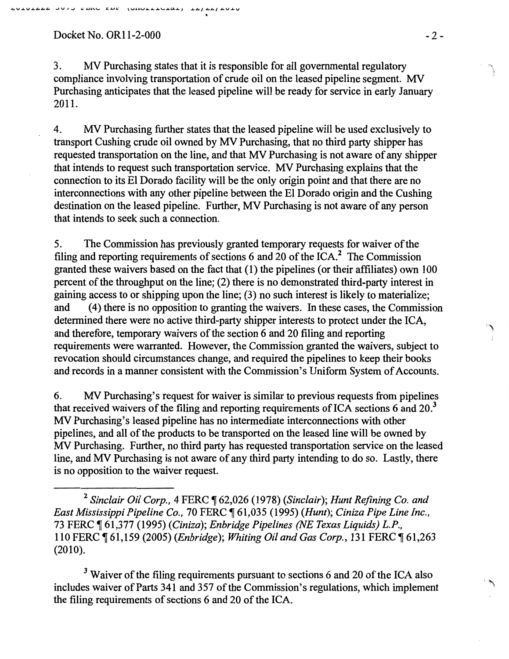## Docket No. OR11-2-000 -2-

3. MV Purchasing states that it is responsible for all governmental regulatory compliance involving transportation of crude oil on the leased pipeline segment. MV Purchasing anticipates that the leased pipeline will be ready for service in early January 2011.

~

4. MV Purchasing further states that the leased pipeline will be used exclusively to transport Cushing crude oil owned by MV Purchasing, that no third party shipper has requested transportation on the line, and that MV Purchasing is not aware of any shipper that intends to request such transportation service. MV Purchasing explains that the connection to its El Dorado facility will be the only origin point and that there are no interconnections with any other pipeline between the El Dorado origin and the Cushing destination on the leased pipeline. Further, MV Purchasing is not aware of any person that intends to seek such a connection.

5. The Commission has previously granted temporary requests for waiver of the filing and reporting requirements of sections 6 and 20 of the ICA.<sup>2</sup> The Commission granted these waivers based on the fact that (1) the pipelines (or their affiliates) own 100 percent of the throughput on the line; (2) there is no demonstrated third-party interest in gaining access to or shipping upon the line; (3) no such interest is likely to materialize; and ( 4) there is no opposition to granting the waivers. In these cases, the Commission determined there were no active third-party shipper interests to protect under the ICA, and therefore, temporary waivers of the section 6 and 20 filing and reporting requirements were warranted. However, the Commission granted the waivers, subject to revocation should circumstances change, and required the pipelines to keep their books and records in a manner consistent with the Commission's Uniform System of Accounts.

6. MV Purchasing's request for waiver is similar to previous requests from pipelines that received waivers of the filing and reporting requirements of ICA sections 6 and  $20<sup>3</sup>$ MV Purchasing's leased pipeline has no intermediate interconnections with other pipelines, and all of the products to be transported on the leased line will be owned by MV Purchasing. Further, no third party has requested transportation service on the leased line, and MV Purchasing is not aware of any third party intending to do so. Lastly, there is no opposition to the waiver request.

<sup>2</sup> Sinclair Oil Corp., 4 FERC ¶ 62,026 (1978) (Sinclair); Hunt Refining Co. and *East Mississippi Pipeline Co.,* 70 FERC ~ 61,035 (1995) *(Hunt); Ciniza Pipe Line Inc.,*  73 FERC ~ 61,377 (1995) *(Ciniza); Enbridge Pipelines (NE Texas Liquids) L.P.,*  110 FERC ~ 61,159 (2005) *(Enbridge); Whiting Oil and Gas Corp.,* 131 FERC ~ 61,263 (2010).

<sup>3</sup> Waiver of the filing requirements pursuant to sections 6 and 20 of the ICA also includes waiver of Parts 341 and 357 of the Commission's regulations, which implement the filing requirements of sections 6 and 20 of the ICA.

 $\mathcal{L}$